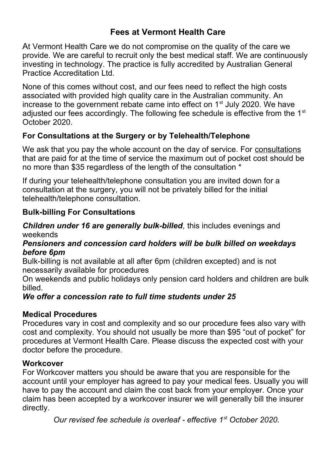## **Fees at Vermont Health Care**

At Vermont Health Care we do not compromise on the quality of the care we provide. We are careful to recruit only the best medical staff. We are continuously investing in technology. The practice is fully accredited by Australian General Practice Accreditation Ltd.

None of this comes without cost, and our fees need to reflect the high costs associated with provided high quality care in the Australian community. An increase to the government rebate came into effect on  $1<sup>st</sup>$  July 2020. We have adjusted our fees accordingly. The following fee schedule is effective from the 1<sup>st</sup> October 2020.

## **For Consultations at the Surgery or by Telehealth/Telephone**

We ask that you pay the whole account on the day of service. For consultations that are paid for at the time of service the maximum out of pocket cost should be no more than \$35 regardless of the length of the consultation \*

If during your telehealth/telephone consultation you are invited down for a consultation at the surgery, you will not be privately billed for the initial telehealth/telephone consultation.

## **Bulk-billing For Consultations**

#### *Children under 16 are generally bulk-billed,* this includes evenings and weekends

#### *Pensioners and concession card holders will be bulk billed on weekdays before 6pm*

Bulk-billing is not available at all after 6pm (children excepted) and is not necessarily available for procedures

On weekends and public holidays only pension card holders and children are bulk billed.

## *We offer a concession rate to full time students under 25*

## **Medical Procedures**

Procedures vary in cost and complexity and so our procedure fees also vary with cost and complexity. You should not usually be more than \$95 "out of pocket" for procedures at Vermont Health Care. Please discuss the expected cost with your doctor before the procedure.

#### **Workcover**

For Workcover matters you should be aware that you are responsible for the account until your employer has agreed to pay your medical fees. Usually you will have to pay the account and claim the cost back from your employer. Once your claim has been accepted by a workcover insurer we will generally bill the insurer directly.

*Our revised fee schedule is overleaf - effective 1st October 2020.*